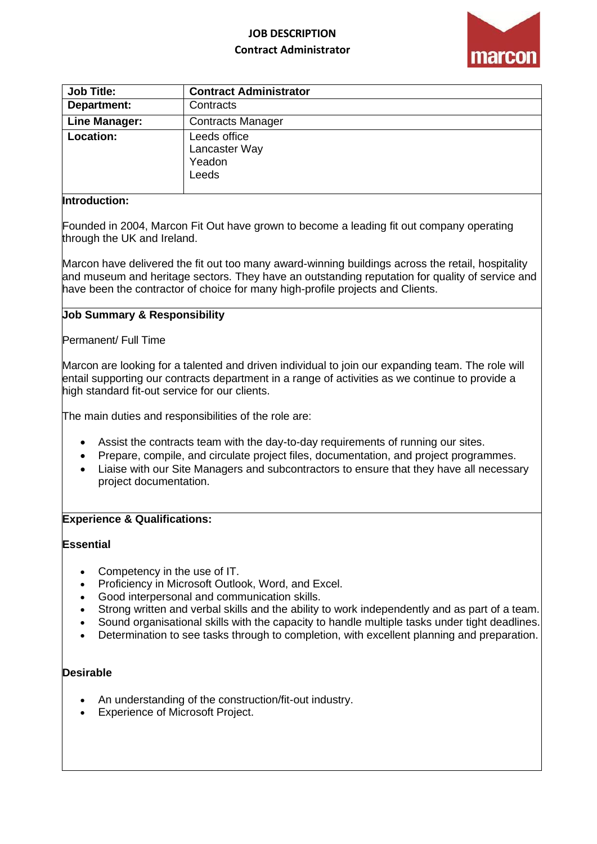# **JOB DESCRIPTION Contract Administrator**



| <b>Job Title:</b>    | <b>Contract Administrator</b>                    |
|----------------------|--------------------------------------------------|
| Department:          | Contracts                                        |
| <b>Line Manager:</b> | <b>Contracts Manager</b>                         |
| Location:            | Leeds office<br>Lancaster Way<br>Yeadon<br>Leeds |

## **Introduction:**

Founded in 2004, Marcon Fit Out have grown to become a leading fit out company operating through the UK and Ireland.

Marcon have delivered the fit out too many award-winning buildings across the retail, hospitality and museum and heritage sectors. They have an outstanding reputation for quality of service and have been the contractor of choice for many high-profile projects and Clients.

## **Job Summary & Responsibility**

Permanent/ Full Time

Marcon are looking for a talented and driven individual to join our expanding team. The role will entail supporting our contracts department in a range of activities as we continue to provide a high standard fit-out service for our clients.

The main duties and responsibilities of the role are:

- Assist the contracts team with the day-to-day requirements of running our sites.
- Prepare, compile, and circulate project files, documentation, and project programmes.
- Liaise with our Site Managers and subcontractors to ensure that they have all necessary project documentation.

#### **Experience & Qualifications:**

### **Essential**

- Competency in the use of IT.
- Proficiency in Microsoft Outlook, Word, and Excel.
- Good interpersonal and communication skills.
- Strong written and verbal skills and the ability to work independently and as part of a team.
- Sound organisational skills with the capacity to handle multiple tasks under tight deadlines.
- Determination to see tasks through to completion, with excellent planning and preparation.

#### **Desirable**

- An understanding of the construction/fit-out industry.
- Experience of Microsoft Project.